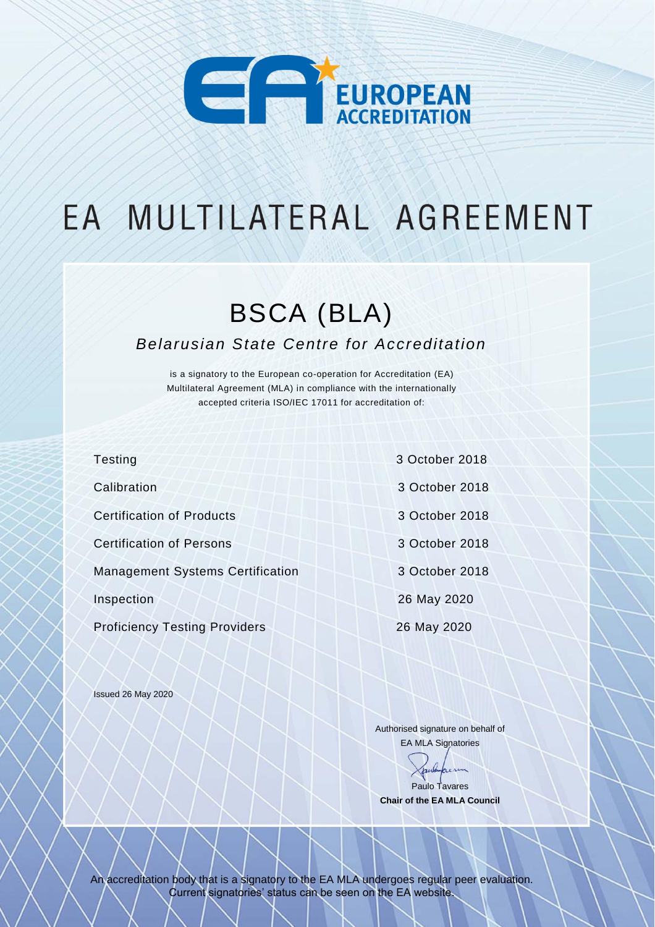

# EA MULTILATERAL AGREEMENT

## BSCA (BLA)

### *Belarusian State Centre for Accreditation*

is a signatory to the European co-operation for Accreditation (EA) Multilateral Agreement (MLA) in compliance with the internationally accepted criteria ISO/IEC 17011 for accreditation of:

Testing 3 October 2018 Calibration 3 October 2018 **Certification of Products** 3 October 2018 **Certification of Persons 3 October 2018** Management Systems Certification 3 October 2018 Inspection 26 May 2020 Proficiency Testing Providers 26 May 2020

Issued 26 May 2020

- 
- 
- 
- 
- 
- 

Authorised signature on behalf of EA MLA Signatories

Paulo Tavares **Chair of the EA MLA Council**

An accreditation body that is a signatory to the EA MLA undergoes regular peer evaluation. Current signatories' status can be seen on the EA website.